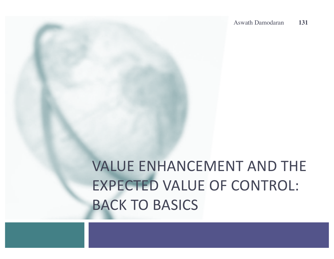# **VALUE ENHANCEMENT AND THE EXPECTED VALUE OF CONTROL: BACK TO BASICS**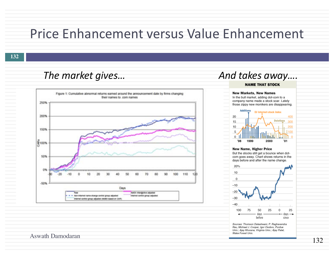#### Price Enhancement versus Value Enhancement

**132**

#### *The market gives...* **And takes away....**



#### Aswath Damodaran

**NAME THAT STOCK** 

**New Markets, New Names** In the bull market, adding dot-com to a company name made a stock soar. Lately those zippy new monikers are disappearing.



#### New Name, Higher Price

But the stocks still get a bounce when dotcom goes away. Chart shows returns in the days before and after the name change.



Sources: Thomson Datastream; P. Raghavendra Rau, Michael J. Cooper, Igor Osobov, Purdue Univ.; Ajay Khorana, Virginia Univ.; Ajay Patel, Wake Forest Univ.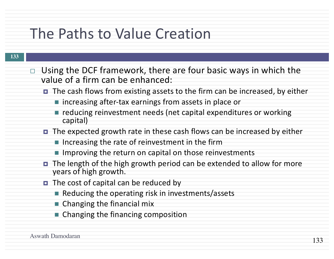### The Paths to Value Creation

- $\Box$  Using the DCF framework, there are four basic ways in which the value of a firm can be enhanced:
	- The cash flows from existing assets to the firm can be increased, by either
		- increasing after-tax earnings from assets in place or
		- $\blacksquare$  reducing reinvestment needs (net capital expenditures or working capital)
	- The expected growth rate in these cash flows can be increased by either
		- $\blacksquare$  Increasing the rate of reinvestment in the firm
		- $\blacksquare$  Improving the return on capital on those reinvestments
	- The length of the high growth period can be extended to allow for more years of high growth.
	- $\blacksquare$  The cost of capital can be reduced by
		- $\blacksquare$  Reducing the operating risk in investments/assets
		- $\blacksquare$  Changing the financial mix
		- $\blacksquare$  Changing the financing composition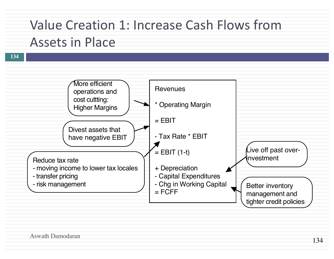#### Value Creation 1: Increase Cash Flows from Assets in Place

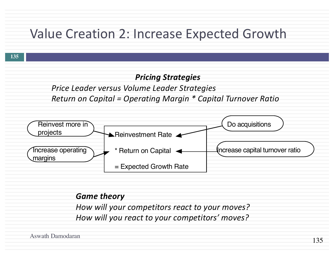#### Value Creation 2: Increase Expected Growth



#### *Game theory*

How will your competitors react to your moves? How will you react to your competitors' moves?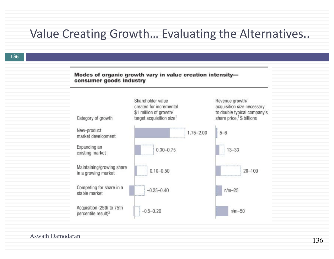#### Value Creating Growth... Evaluating the Alternatives..

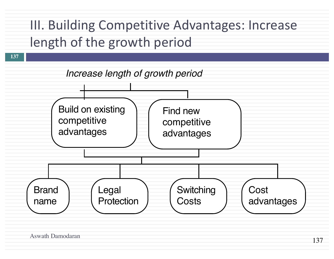### III. Building Competitive Advantages: Increase length of the growth period

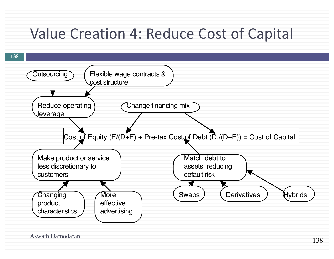### Value Creation 4: Reduce Cost of Capital

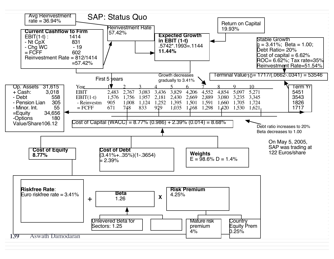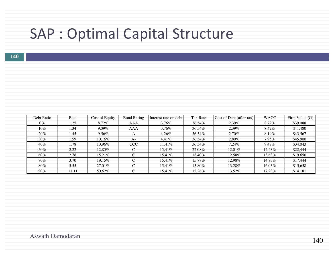## SAP : Optimal Capital Structure

| Debt Ratio | Beta  | Cost of Equity | <b>Bond Rating</b> | Interest rate on debt | Tax Rate  | Cost of Debt (after-tax) | <b>WACC</b> | Firm Value (G) |
|------------|-------|----------------|--------------------|-----------------------|-----------|--------------------------|-------------|----------------|
| $0\%$      | 1.25  | 8.72%          | AAA                | $3.76\%$              | 36.54%    | $2.39\%$                 | 8.72%       | \$39,088       |
| $10\%$     | . 34  | $9.09\%$       | AAA                | $3.76\%$              | 36.54%    | 2.39%                    | 8.42%       | \$41,480       |
| 20%        | 1.45  | $9.56\%$       |                    | 4.26%                 | 36.54%    | $2.70\%$                 | 8.19%       | \$43,567       |
| $30\%$     | . 59  | $10.16\%$      | $A-$               | $4.41\%$              | 36.54%    | $2.80\%$                 | $7.95\%$    | \$45,900       |
| $40\%$     | 1.78  | 10.96%         | <b>CCC</b>         | 11.41\%               | 36.54%    | $7.24\%$                 | 9.47%       | \$34,043       |
| 50%        | 2.22  | 12.85%         |                    | 15.41\%               | 22.08%    | $12.01\%$                | 12.43%      | \$22,444       |
| $60\%$     | 2.78  | 15.21\%        |                    | 15.41%                | 18.40%    | 12.58%                   | 13.63%      | \$19,650       |
| 70%        | 3.70  | $19.15\%$      |                    | $15.41\%$             | $15.77\%$ | 12.98%                   | 14.83%      | \$17,444       |
| $80\%$     | 5.55  | 27.01%         |                    | 15.41\%               | 13.80%    | 13.28%                   | 16.03%      | \$15,658       |
| $90\%$     | 11.11 | 50.62%         |                    | $15.41\%$             | 12.26%    | 13.52%                   | 17.23%      | \$14,181       |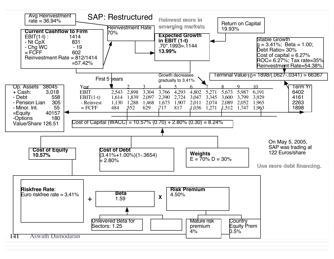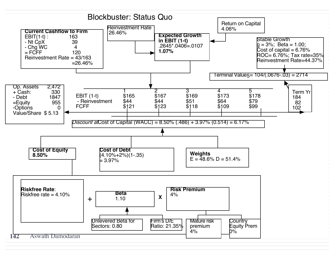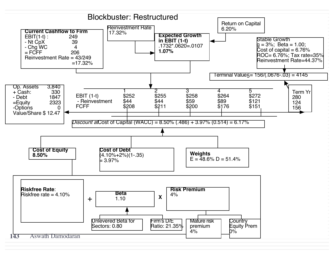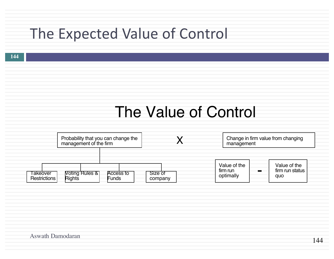### The Expected Value of Control

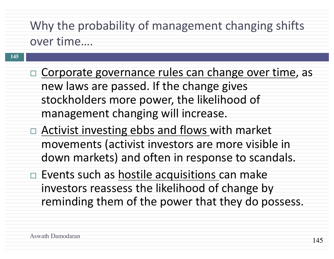## Why the probability of management changing shifts

over time....

- $\Box$  Corporate governance rules can change over time, as new laws are passed. If the change gives stockholders more power, the likelihood of management changing will increase.
- $\Box$  Activist investing ebbs and flows with market movements (activist investors are more visible in down markets) and often in response to scandals.
- $\Box$  Events such as hostile acquisitions can make investors reassess the likelihood of change by reminding them of the power that they do possess.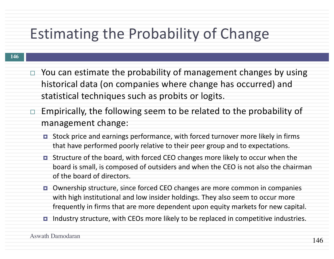## Estimating the Probability of Change

- $\Box$  You can estimate the probability of management changes by using historical data (on companies where change has occurred) and statistical techniques such as probits or logits.
- $\Box$  Empirically, the following seem to be related to the probability of management change:
	- $\blacksquare$  Stock price and earnings performance, with forced turnover more likely in firms that have performed poorly relative to their peer group and to expectations.
	- $\blacksquare$  Structure of the board, with forced CEO changes more likely to occur when the board is small, is composed of outsiders and when the CEO is not also the chairman of the board of directors.
	- Ownership structure, since forced CEO changes are more common in companies with high institutional and low insider holdings. They also seem to occur more frequently in firms that are more dependent upon equity markets for new capital.
	- $\blacksquare$  Industry structure, with CEOs more likely to be replaced in competitive industries.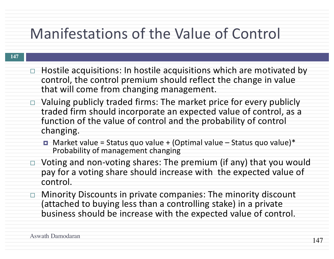## Manifestations of the Value of Control

- $\Box$  Hostile acquisitions: In hostile acquisitions which are motivated by control, the control premium should reflect the change in value that will come from changing management.
- $\Box$  Valuing publicly traded firms: The market price for every publicly traded firm should incorporate an expected value of control, as a function of the value of control and the probability of control changing.
	- $\blacksquare$  Market value = Status quo value + (Optimal value Status quo value)\* Probability of management changing
- $\Box$  Voting and non-voting shares: The premium (if any) that you would pay for a voting share should increase with the expected value of control.
- $\Box$  Minority Discounts in private companies: The minority discount (attached to buying less than a controlling stake) in a private business should be increase with the expected value of control.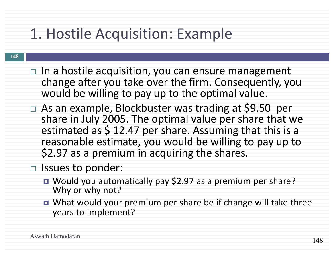## 1. Hostile Acquisition: Example

#### **148**

- $\Box$  In a hostile acquisition, you can ensure management change after you take over the firm. Consequently, you would be willing to pay up to the optimal value.
- $\Box$  As an example, Blockbuster was trading at \$9.50 per share in July 2005. The optimal value per share that we estimated as  $$12.47$  per share. Assuming that this is a reasonable estimate, you would be willing to pay up to \$2.97 as a premium in acquiring the shares.

#### □ Issues to ponder:

- Would you automatically pay \$2.97 as a premium per share? Why or why not?
- What would your premium per share be if change will take three years to implement?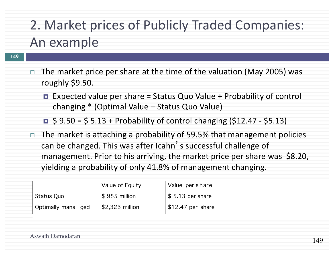### 2. Market prices of Publicly Traded Companies: An example

- $\Box$  The market price per share at the time of the valuation (May 2005) was roughly \$9.50.
	- **EXPECTED Value per share = Status Quo Value + Probability of control** changing  $*$  (Optimal Value – Status Quo Value)
	- $\blacksquare$  \$ 9.50 = \$ 5.13 + Probability of control changing (\$12.47 \$5.13)
- $\Box$  The market is attaching a probability of 59.5% that management policies can be changed. This was after Icahn's successful challenge of management. Prior to his arriving, the market price per share was \$8.20, yielding a probability of only 41.8% of management changing.

|                    | Value of Equity | Value per share    |
|--------------------|-----------------|--------------------|
| <b>Status Quo</b>  | $$955$ million  | $$5.13$ per share  |
| Optimally mana ged | \$2,323 million | $$12.47$ per share |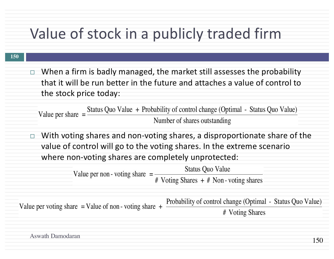## Value of stock in a publicly traded firm

 $\Box$  When a firm is badly managed, the market still assesses the probability that it will be run better in the future and attaches a value of control to the stock price today:

Value per share  $=$ Status Quo Value + Probability of control change (Optimal - Status Quo Value) Number of shares outstanding

 $\Box$  With voting shares and non-voting shares, a disproportionate share of the value of control will go to the voting shares. In the extreme scenario where non-voting shares are completely unprotected:

> Value per non - voting share  $=$ Status Quo Value # Voting Shares + # Non - voting shares

Value per voting share = Value of non - voting share  $+$  Probability of control change (Optimal - Status Quo Value) # Voting Shares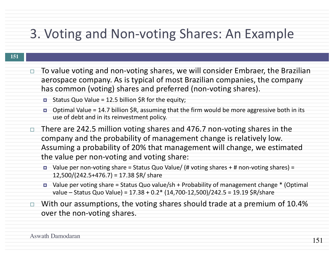#### 3. Voting and Non-voting Shares: An Example

- $\Box$  To value voting and non-voting shares, we will consider Embraer, the Brazilian aerospace company. As is typical of most Brazilian companies, the company has common (voting) shares and preferred (non-voting shares).
	- $\blacksquare$  Status Quo Value = 12.5 billion \$R for the equity;
	- $\blacksquare$  Optimal Value = 14.7 billion \$R, assuming that the firm would be more aggressive both in its use of debt and in its reinvestment policy.
- $\Box$  There are 242.5 million voting shares and 476.7 non-voting shares in the company and the probability of management change is relatively low. Assuming a probability of 20% that management will change, we estimated the value per non-voting and voting share:
	- Value per non-voting share = Status Quo Value/ (# voting shares + # non-voting shares) =  $12,500/(242.5+476.7) = 17.38$  \$R/ share
	- Value per voting share = Status Quo value/sh + Probability of management change  $*$  (Optimal value – Status Quo Value) =  $17.38 + 0.2$  \* (14,700-12,500)/242.5 = 19.19 \$R/share
- $\Box$  With our assumptions, the voting shares should trade at a premium of 10.4% over the non-voting shares.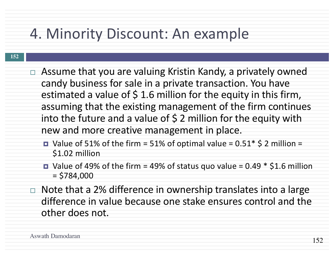### 4. Minority Discount: An example

- **152**
- $\Box$  Assume that you are valuing Kristin Kandy, a privately owned candy business for sale in a private transaction. You have estimated a value of  $\frac{1}{2}$  1.6 million for the equity in this firm, assuming that the existing management of the firm continues into the future and a value of  $\frac{1}{2}$  million for the equity with new and more creative management in place.
	- Value of 51% of the firm = 51% of optimal value =  $0.51*$  \$ 2 million = \$1.02 million
	- Value of 49% of the firm = 49% of status quo value =  $0.49 * $1.6$  million  $= $784,000$
- $\Box$  Note that a 2% difference in ownership translates into a large difference in value because one stake ensures control and the other does not.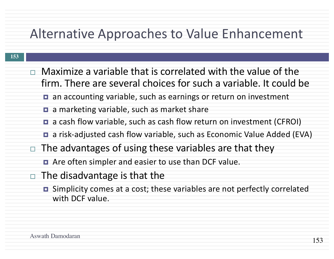#### Alternative Approaches to Value Enhancement

- $\Box$  Maximize a variable that is correlated with the value of the firm. There are several choices for such a variable. It could be
	- **□** an accounting variable, such as earnings or return on investment
	- $\blacksquare$  a marketing variable, such as market share
	- **□** a cash flow variable, such as cash flow return on investment (CFROI)
	- **□** a risk-adjusted cash flow variable, such as Economic Value Added (EVA)
- $\Box$  The advantages of using these variables are that they
	- **□** Are often simpler and easier to use than DCF value.
- $\Box$  The disadvantage is that the
	- Simplicity comes at a cost; these variables are not perfectly correlated with DCF value.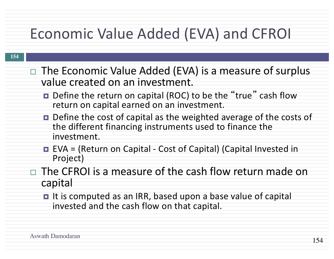## Economic Value Added (EVA) and CFROI

- $\Box$  The Economic Value Added (EVA) is a measure of surplus value created on an investment.
	- **□** Define the return on capital (ROC) to be the "true" cash flow return on capital earned on an investment.
	- Define the cost of capital as the weighted average of the costs of the different financing instruments used to finance the investment.
	- EVA = (Return on Capital Cost of Capital) (Capital Invested in Project)

 $\Box$  The CFROI is a measure of the cash flow return made on capital

**□** It is computed as an IRR, based upon a base value of capital invested and the cash flow on that capital.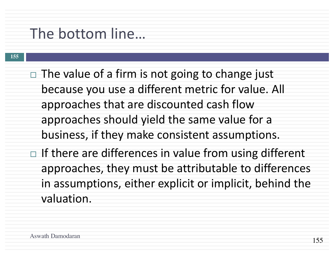### The bottom line...

 $\Box$  The value of a firm is not going to change just because you use a different metric for value. All approaches that are discounted cash flow approaches should yield the same value for a business, if they make consistent assumptions.  $\Box$  If there are differences in value from using different approaches, they must be attributable to differences in assumptions, either explicit or implicit, behind the valuation.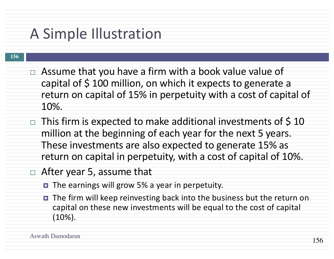### A Simple Illustration

- $\Box$  Assume that you have a firm with a book value value of capital of  $\frac{1}{2}$  100 million, on which it expects to generate a return on capital of 15% in perpetuity with a cost of capital of 10%.
- $\Box$  This firm is expected to make additional investments of \$10 million at the beginning of each year for the next 5 years. These investments are also expected to generate 15% as return on capital in perpetuity, with a cost of capital of 10%.
- $\Box$  After year 5, assume that
	- The earnings will grow 5% a year in perpetuity.
	- The firm will keep reinvesting back into the business but the return on capital on these new investments will be equal to the cost of capital (10%).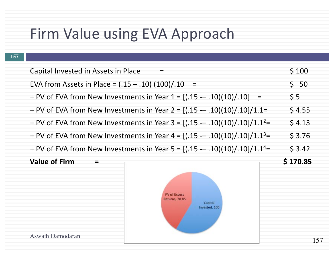#### Firm Value using EVA Approach

Aswath Damodaran

**157**

#### Capital Invested in Assets in Place  $\qquad \qquad =$   $\qquad \qquad$  \$ 100 EVA from Assets in Place = (.15 – .10) (100)/.10 = \$ 50 + PV of EVA from New Investments in Year  $1 = [(0.15 - 0.10)(10) / 0.10]$  = \$ 5 + PV of EVA from New Investments in Year  $2 = [(0.15 - 0.10)(10)/0.10]/1.1=$  \$ 4.55 + PV of EVA from New Investments in Year 3 =  $[(.15 - .10)(10)/.10]/1.1^2$ = \$ 4.13 + PV of EVA from New Investments in Year  $4 = [(0.15 - 0.10)(10)/0.10]/1.1<sup>3</sup>$  = \$ 3.76 + PV of EVA from New Investments in Year 5 =  $[(.15 - .10)(10)/.10]/1.1<sup>4</sup>$  = \$ 3.42 **Value of Firm**  $\qquad$  **=**  $\qquad \qquad$  **5 170.85 PV of Excess Returns, 70.85** Capital Invested, 100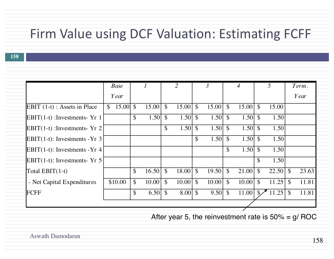#### Firm Value using DCF Valuation: Estimating FCFF

**158**

|                                 | <b>Base</b>                         |                          |               | 2                  |               | $\mathfrak{Z}$     |               | $\overline{4}$ |               | 5     |               | Term. |
|---------------------------------|-------------------------------------|--------------------------|---------------|--------------------|---------------|--------------------|---------------|----------------|---------------|-------|---------------|-------|
|                                 | Year                                |                          |               |                    |               |                    |               |                |               |       |               | Year  |
| EBIT $(1-t)$ : Assets in Place  | $15.00 \text{ }$ \$<br>$\mathbb{S}$ | 15.00                    | $\mathcal{S}$ | 15.00              | $\mathcal{S}$ | 15.00              | $\mathbb{S}$  | 15.00          | \$            | 15.00 |               |       |
| $EBIT(1-t)$ : Investments- Yr 1 |                                     | \$<br>1.50               | $\mathcal{S}$ | 1.50               | $\mathcal{S}$ | 1.50               | $\mathcal{S}$ | 1.50           | \$            | 1.50  |               |       |
| $EBIT(1-t)$ : Investments- Yr 2 |                                     |                          | $\mathbb{S}$  | 1.50               | $\mathcal{S}$ | 1.50               | $\mathcal{S}$ | 1.50           | $\mathcal{S}$ | 1.50  |               |       |
| EBIT(1-t): Investments - $Yr$ 3 |                                     |                          |               |                    | \$            | 1.50               | $\mathcal{S}$ | 1.50           | $\mathcal{S}$ | 1.50  |               |       |
| EBIT(1-t): Investments - $Yr$ 4 |                                     |                          |               |                    |               |                    | $\mathcal{S}$ | 1.50           | \$            | 1.50  |               |       |
| EBIT(1-t): Investments- $Yr$ 5  |                                     |                          |               |                    |               |                    |               |                | \$            | 1.50  |               |       |
| Total $EBIT(1-t)$               |                                     | \$<br>16.50              | $\mathcal{S}$ | 18.00              | $\mathcal{S}$ | 19.50              | $\mathbb{S}$  | 21.00          | \$            | 22.50 | $\mathcal{S}$ | 23.63 |
| - Net Capital Expenditures      | \$10.00                             | \$<br>10.00              | $\mathcal{S}$ | 10.00              | $\mathcal{S}$ | 10.00              | $\mathcal{S}$ | 10.00          | $\mathcal{S}$ | 11.25 | $\mathcal{S}$ | 11.81 |
| FCFF                            |                                     | \$<br>6.50 $\frac{1}{2}$ |               | $8.00 \, \text{S}$ |               | $9.50 \, \text{S}$ |               | 11.00          | $\mathcal{S}$ | 11.25 | $\mathcal{S}$ | 11.81 |
|                                 |                                     |                          |               |                    |               |                    |               |                |               |       |               |       |

After year 5, the reinvestment rate is  $50\% = g/$  ROC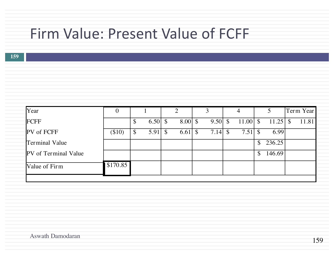### Firm Value: Present Value of FCFF

| Year                        | U        |                    |               |                    |                    |               | 4                  |              | Term Year |
|-----------------------------|----------|--------------------|---------------|--------------------|--------------------|---------------|--------------------|--------------|-----------|
| FCFF                        |          | 6.50 $\frac{1}{2}$ |               | $8.00 \, \text{S}$ | $9.50 \, \text{S}$ |               | $11.00$ \$         | $11.25$ \$   | 11.81     |
| <b>PV</b> of FCFF           | $(\$10)$ | 5.91               | $\mathcal{S}$ | $6.61 \text{ }$ \$ | 7.14               | $\mathcal{S}$ | $7.51 \text{ }$ \$ | 6.99         |           |
| <b>Terminal Value</b>       |          |                    |               |                    |                    |               |                    | \$<br>236.25 |           |
| <b>PV</b> of Terminal Value |          |                    |               |                    |                    |               |                    | \$<br>146.69 |           |
| Value of Firm               | \$170.85 |                    |               |                    |                    |               |                    |              |           |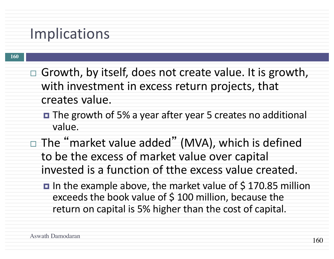### Implications

- $\Box$  Growth, by itself, does not create value. It is growth, with investment in excess return projects, that creates value.
	- **□** The growth of 5% a year after year 5 creates no additional value.
- $\Box$  The "market value added" (MVA), which is defined to be the excess of market value over capital invested is a function of tthe excess value created.
	- $\blacksquare$  In the example above, the market value of \$170.85 million exceeds the book value of  $$100$  million, because the return on capital is 5% higher than the cost of capital.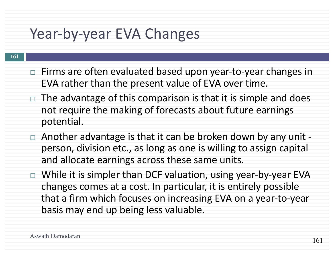### Year-by-year EVA Changes

- $\Box$  Firms are often evaluated based upon year-to-year changes in EVA rather than the present value of EVA over time.
- $\Box$  The advantage of this comparison is that it is simple and does not require the making of forecasts about future earnings potential.
- $\Box$  Another advantage is that it can be broken down by any unit person, division etc., as long as one is willing to assign capital and allocate earnings across these same units.
- $\Box$  While it is simpler than DCF valuation, using year-by-year EVA changes comes at a cost. In particular, it is entirely possible that a firm which focuses on increasing EVA on a year-to-year basis may end up being less valuable.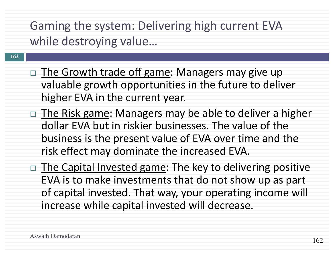Gaming the system: Delivering high current EVA while destroying value...

- $\Box$  The Growth trade off game: Managers may give up valuable growth opportunities in the future to deliver higher EVA in the current year.
- $\Box$  The Risk game: Managers may be able to deliver a higher dollar EVA but in riskier businesses. The value of the business is the present value of EVA over time and the risk effect may dominate the increased EVA.
- $\Box$  The Capital Invested game: The key to delivering positive EVA is to make investments that do not show up as part of capital invested. That way, your operating income will increase while capital invested will decrease.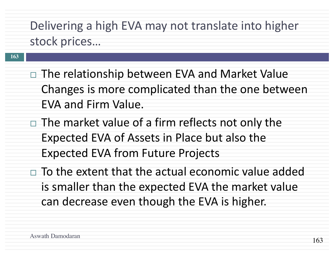Delivering a high EVA may not translate into higher stock prices...

- $\Box$  The relationship between EVA and Market Value Changes is more complicated than the one between EVA and Firm Value.
- $\Box$  The market value of a firm reflects not only the Expected EVA of Assets in Place but also the Expected EVA from Future Projects
- $\Box$  To the extent that the actual economic value added is smaller than the expected EVA the market value can decrease even though the EVA is higher.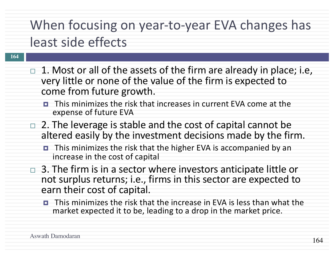### When focusing on year-to-year EVA changes has least side effects

- $\Box$  1. Most or all of the assets of the firm are already in place; i.e, very little or none of the value of the firm is expected to come from future growth.
	- $\blacksquare$  This minimizes the risk that increases in current EVA come at the expense of future EVA
- $\Box$  2. The leverage is stable and the cost of capital cannot be altered easily by the investment decisions made by the firm.
	- This minimizes the risk that the higher EVA is accompanied by an increase in the cost of capital
- 3. The firm is in a sector where investors anticipate little or not surplus returns; i.e., firms in this sector are expected to earn their cost of capital.
	- $\blacksquare$  This minimizes the risk that the increase in EVA is less than what the market expected it to be, leading to a drop in the market price.